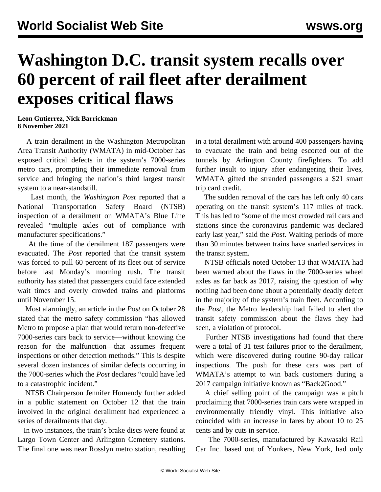## **Washington D.C. transit system recalls over 60 percent of rail fleet after derailment exposes critical flaws**

**Leon Gutierrez, Nick Barrickman 8 November 2021**

 A train derailment in the Washington Metropolitan Area Transit Authority (WMATA) in mid-October has exposed critical defects in the system's 7000-series metro cars, prompting their immediate removal from service and bringing the nation's third largest transit system to a near-standstill.

 Last month, the *Washington Post* reported that a National Transportation Safety Board (NTSB) inspection of a derailment on WMATA's Blue Line revealed "multiple axles out of compliance with manufacturer specifications."

 At the time of the derailment 187 passengers were evacuated. The *Post* reported that the transit system was forced to pull 60 percent of its fleet out of service before last Monday's morning rush. The transit authority has stated that passengers could face extended wait times and overly crowded trains and platforms until November 15.

 Most alarmingly, an article in the *Post* on October 28 stated that the metro safety commission "has allowed Metro to propose a plan that would return non-defective 7000-series cars back to service—without knowing the reason for the malfunction—that assumes frequent inspections or other detection methods." This is despite several dozen instances of similar defects occurring in the 7000-series which the *Post* declares "could have led to a catastrophic incident."

 NTSB Chairperson Jennifer Homendy further added in a public statement on October 12 that the train involved in the original derailment had experienced a series of derailments that day.

 In two instances, the train's brake discs were found at Largo Town Center and Arlington Cemetery stations. The final one was near Rosslyn metro station, resulting in a total derailment with around 400 passengers having to evacuate the train and being escorted out of the tunnels by Arlington County firefighters. To add further insult to injury after endangering their lives, WMATA gifted the stranded passengers a \$21 smart trip card credit.

 The sudden removal of the cars has left only 40 cars operating on the transit system's 117 miles of track. This has led to "some of the most crowded rail cars and stations since the coronavirus pandemic was declared early last year," said the *Post*. Waiting periods of more than 30 minutes between trains have snarled services in the transit system.

 NTSB officials noted October 13 that WMATA had been warned about the flaws in the 7000-series wheel axles as far back as 2017, raising the question of why nothing had been done about a potentially deadly defect in the majority of the system's train fleet. According to the *Post*, the Metro leadership had failed to alert the transit safety commission about the flaws they had seen, a violation of protocol.

 Further NTSB investigations had found that there were a total of 31 test failures prior to the derailment, which were discovered during routine 90-day railcar inspections. The push for these cars was part of WMATA's attempt to win back customers during a 2017 campaign initiative known as "Back2Good."

 A chief selling point of the campaign was a pitch proclaiming that 7000-series train cars were wrapped in environmentally friendly vinyl. This initiative also coincided with an increase in fares by about 10 to 25 cents and by cuts in service.

 The 7000-series, manufactured by Kawasaki Rail Car Inc. based out of Yonkers, New York, had only